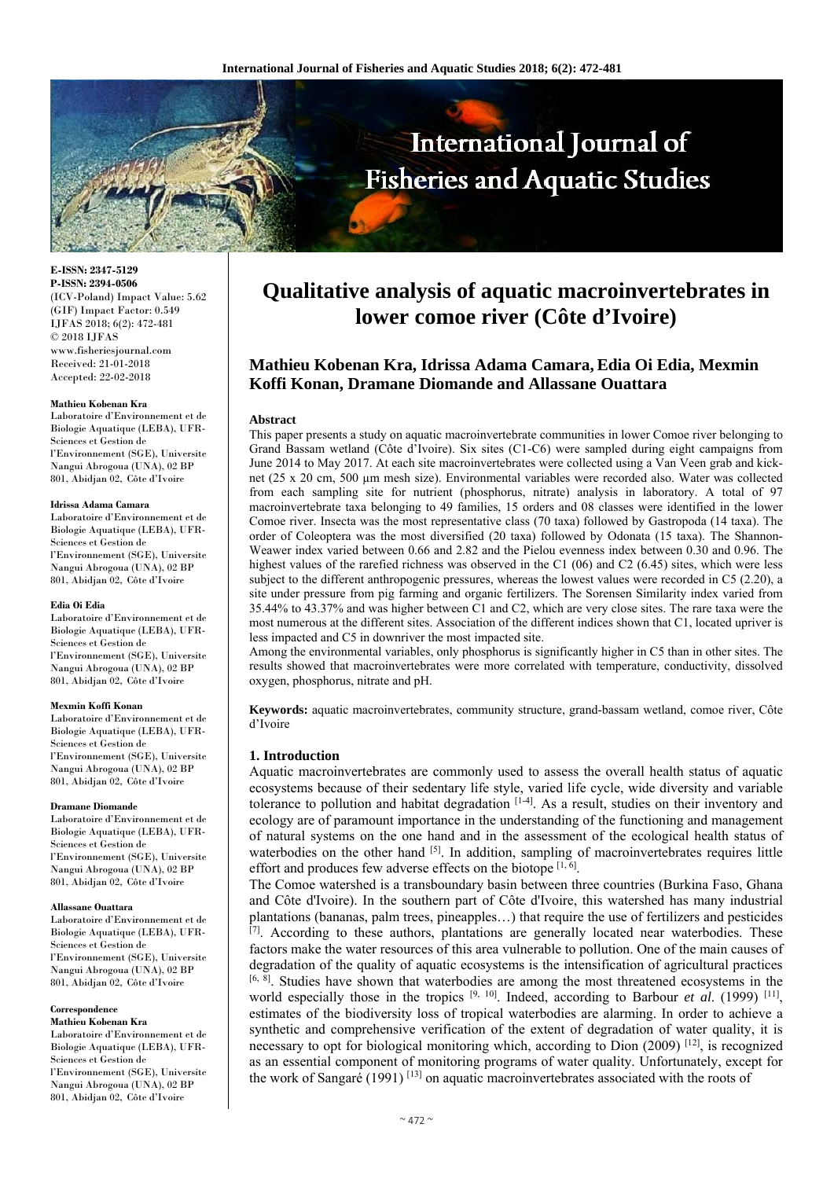

**E-ISSN: 2347-5129 P-ISSN: 2394-0506**  (ICV-Poland) Impact Value: 5.62 (GIF) Impact Factor: 0.549 IJFAS 2018; 6(2): 472-481 © 2018 IJFAS www.fisheriesjournal.com Received: 21-01-2018 Accepted: 22-02-2018

#### **Mathieu Kobenan Kra**

Laboratoire d'Environnement et de Biologie Aquatique (LEBA), UFR-Sciences et Gestion de l'Environnement (SGE), Universite Nangui Abrogoua (UNA), 02 BP 801, Abidjan 02, Côte d'Ivoire

#### **Idrissa Adama Camara**

Laboratoire d'Environnement et de Biologie Aquatique (LEBA), UFR-Sciences et Gestion de l'Environnement (SGE), Universite Nangui Abrogoua (UNA), 02 BP 801, Abidjan 02, Côte d'Ivoire

#### **Edia Oi Edia**

Laboratoire d'Environnement et de Biologie Aquatique (LEBA), UFR-Sciences et Gestion de l'Environnement (SGE), Universite Nangui Abrogoua (UNA), 02 BP 801, Abidjan 02, Côte d'Ivoire

#### **Mexmin Koffi Konan**

Laboratoire d'Environnement et de Biologie Aquatique (LEBA), UFR-Sciences et Gestion de l'Environnement (SGE), Universite Nangui Abrogoua (UNA), 02 BP 801, Abidjan 02, Côte d'Ivoire

#### **Dramane Diomande**

Laboratoire d'Environnement et de Biologie Aquatique (LEBA), UFR-Sciences et Gestion de l'Environnement (SGE), Universite Nangui Abrogoua (UNA), 02 BP 801, Abidjan 02, Côte d'Ivoire

#### **Allassane Ouattara**

Laboratoire d'Environnement et de Biologie Aquatique (LEBA), UFR-Sciences et Gestion de l'Environnement (SGE), Universite Nangui Abrogoua (UNA), 02 BP 801, Abidjan 02, Côte d'Ivoire

#### **Correspondence**

**Mathieu Kobenan Kra**  Laboratoire d'Environnement et de Biologie Aquatique (LEBA), UFR-Sciences et Gestion de l'Environnement (SGE), Universite Nangui Abrogoua (UNA), 02 BP 801, Abidjan 02, Côte d'Ivoire

# **Qualitative analysis of aquatic macroinvertebrates in lower comoe river (Côte d'Ivoire)**

# **Mathieu Kobenan Kra, Idrissa Adama Camara, Edia Oi Edia, Mexmin Koffi Konan, Dramane Diomande and Allassane Ouattara**

#### **Abstract**

This paper presents a study on aquatic macroinvertebrate communities in lower Comoe river belonging to Grand Bassam wetland (Côte d'Ivoire). Six sites (C1-C6) were sampled during eight campaigns from June 2014 to May 2017. At each site macroinvertebrates were collected using a Van Veen grab and kicknet (25 x 20 cm, 500 µm mesh size). Environmental variables were recorded also. Water was collected from each sampling site for nutrient (phosphorus, nitrate) analysis in laboratory. A total of 97 macroinvertebrate taxa belonging to 49 families, 15 orders and 08 classes were identified in the lower Comoe river. Insecta was the most representative class (70 taxa) followed by Gastropoda (14 taxa). The order of Coleoptera was the most diversified (20 taxa) followed by Odonata (15 taxa). The Shannon-Weawer index varied between 0.66 and 2.82 and the Pielou evenness index between 0.30 and 0.96. The highest values of the rarefied richness was observed in the C1 (06) and C2 (6.45) sites, which were less subject to the different anthropogenic pressures, whereas the lowest values were recorded in C5 (2.20), a site under pressure from pig farming and organic fertilizers. The Sorensen Similarity index varied from 35.44% to 43.37% and was higher between C1 and C2, which are very close sites. The rare taxa were the most numerous at the different sites. Association of the different indices shown that C1, located upriver is less impacted and C5 in downriver the most impacted site.

Among the environmental variables, only phosphorus is significantly higher in C5 than in other sites. The results showed that macroinvertebrates were more correlated with temperature, conductivity, dissolved oxygen, phosphorus, nitrate and pH.

**Keywords:** aquatic macroinvertebrates, community structure, grand-bassam wetland, comoe river, Côte d'Ivoire

#### **1. Introduction**

Aquatic macroinvertebrates are commonly used to assess the overall health status of aquatic ecosystems because of their sedentary life style, varied life cycle, wide diversity and variable tolerance to pollution and habitat degradation  $[1-4]$ . As a result, studies on their inventory and ecology are of paramount importance in the understanding of the functioning and management of natural systems on the one hand and in the assessment of the ecological health status of waterbodies on the other hand  $\left[5\right]$ . In addition, sampling of macroinvertebrates requires little effort and produces few adverse effects on the biotope  $[1, 6]$ .

The Comoe watershed is a transboundary basin between three countries (Burkina Faso, Ghana and Côte d'Ivoire). In the southern part of Côte d'Ivoire, this watershed has many industrial plantations (bananas, palm trees, pineapples…) that require the use of fertilizers and pesticides [7]. According to these authors, plantations are generally located near waterbodies. These factors make the water resources of this area vulnerable to pollution. One of the main causes of degradation of the quality of aquatic ecosystems is the intensification of agricultural practices [6, 8]. Studies have shown that waterbodies are among the most threatened ecosystems in the world especially those in the tropics  $[9, 10]$ . Indeed, according to Barbour *et al.* (1999)  $[11]$ , estimates of the biodiversity loss of tropical waterbodies are alarming. In order to achieve a synthetic and comprehensive verification of the extent of degradation of water quality, it is necessary to opt for biological monitoring which, according to Dion (2009)  $^{[12]}$ , is recognized as an essential component of monitoring programs of water quality. Unfortunately, except for the work of Sangaré (1991) [13] on aquatic macroinvertebrates associated with the roots of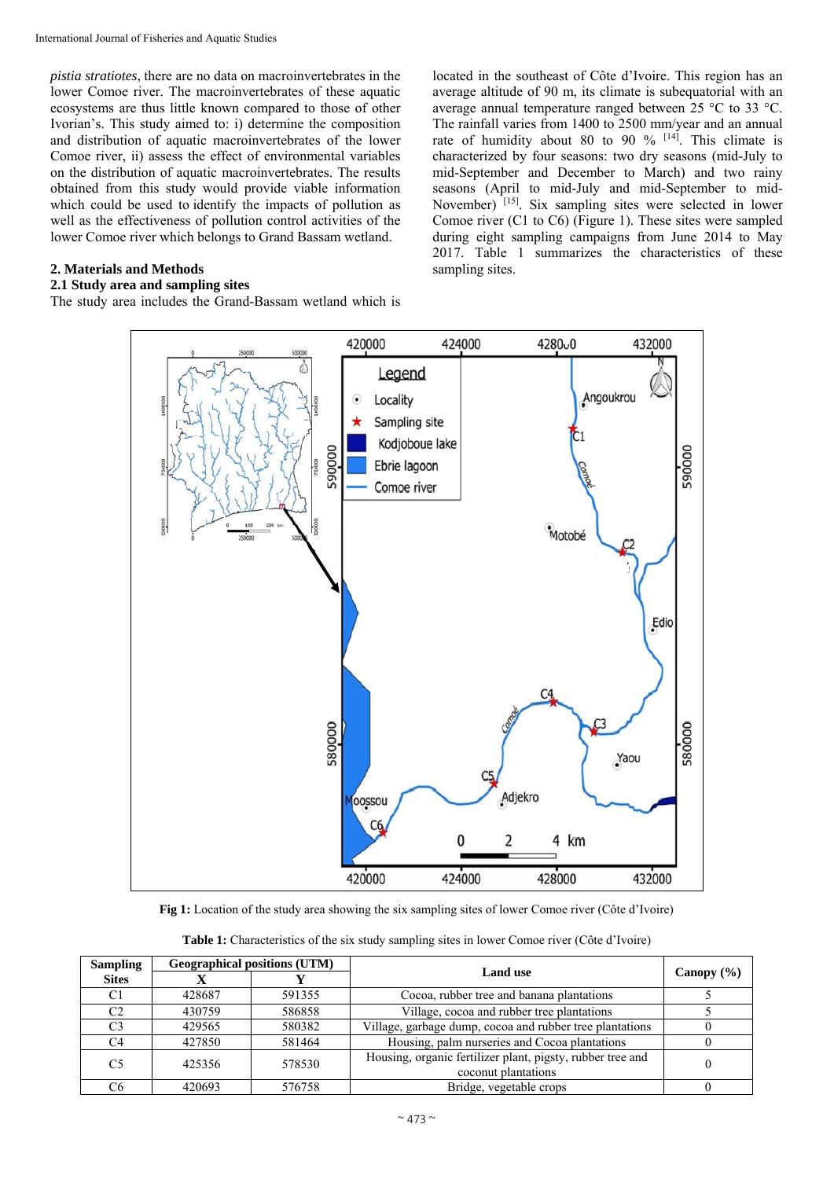*pistia stratiotes*, there are no data on macroinvertebrates in the lower Comoe river. The macroinvertebrates of these aquatic ecosystems are thus little known compared to those of other Ivorian's. This study aimed to: i) determine the composition and distribution of aquatic macroinvertebrates of the lower Comoe river, ii) assess the effect of environmental variables on the distribution of aquatic macroinvertebrates. The results obtained from this study would provide viable information which could be used to identify the impacts of pollution as well as the effectiveness of pollution control activities of the lower Comoe river which belongs to Grand Bassam wetland.

## **2. Materials and Methods**

## **2.1 Study area and sampling sites**

The study area includes the Grand-Bassam wetland which is

located in the southeast of Côte d'Ivoire. This region has an average altitude of 90 m, its climate is subequatorial with an average annual temperature ranged between 25 °C to 33 °C. The rainfall varies from 1400 to 2500 mm/year and an annual rate of humidity about 80 to 90  $\%$  <sup>[14]</sup>. This climate is characterized by four seasons: two dry seasons (mid-July to mid-September and December to March) and two rainy seasons (April to mid-July and mid-September to mid-November) [15]. Six sampling sites were selected in lower Comoe river (C1 to C6) (Figure 1). These sites were sampled during eight sampling campaigns from June 2014 to May 2017. Table 1 summarizes the characteristics of these sampling sites.



**Fig 1:** Location of the study area showing the six sampling sites of lower Comoe river (Côte d'Ivoire)

| <b>Sampling</b> |        | <b>Geographical positions (UTM)</b> |                                                                                   |                |
|-----------------|--------|-------------------------------------|-----------------------------------------------------------------------------------|----------------|
| <b>Sites</b>    |        |                                     | <b>Land use</b>                                                                   | Canopy $(\% )$ |
| C1              | 428687 | 591355                              | Cocoa, rubber tree and banana plantations                                         |                |
| C2              | 430759 | 586858                              | Village, cocoa and rubber tree plantations                                        |                |
| C3              | 429565 | 580382                              | Village, garbage dump, cocoa and rubber tree plantations                          |                |
| C4              | 427850 | 581464                              | Housing, palm nurseries and Cocoa plantations                                     |                |
| C5              | 425356 | 578530                              | Housing, organic fertilizer plant, pigsty, rubber tree and<br>coconut plantations |                |
| C6              | 420693 | 576758                              | Bridge, vegetable crops                                                           |                |

**Table 1:** Characteristics of the six study sampling sites in lower Comoe river (Côte d'Ivoire)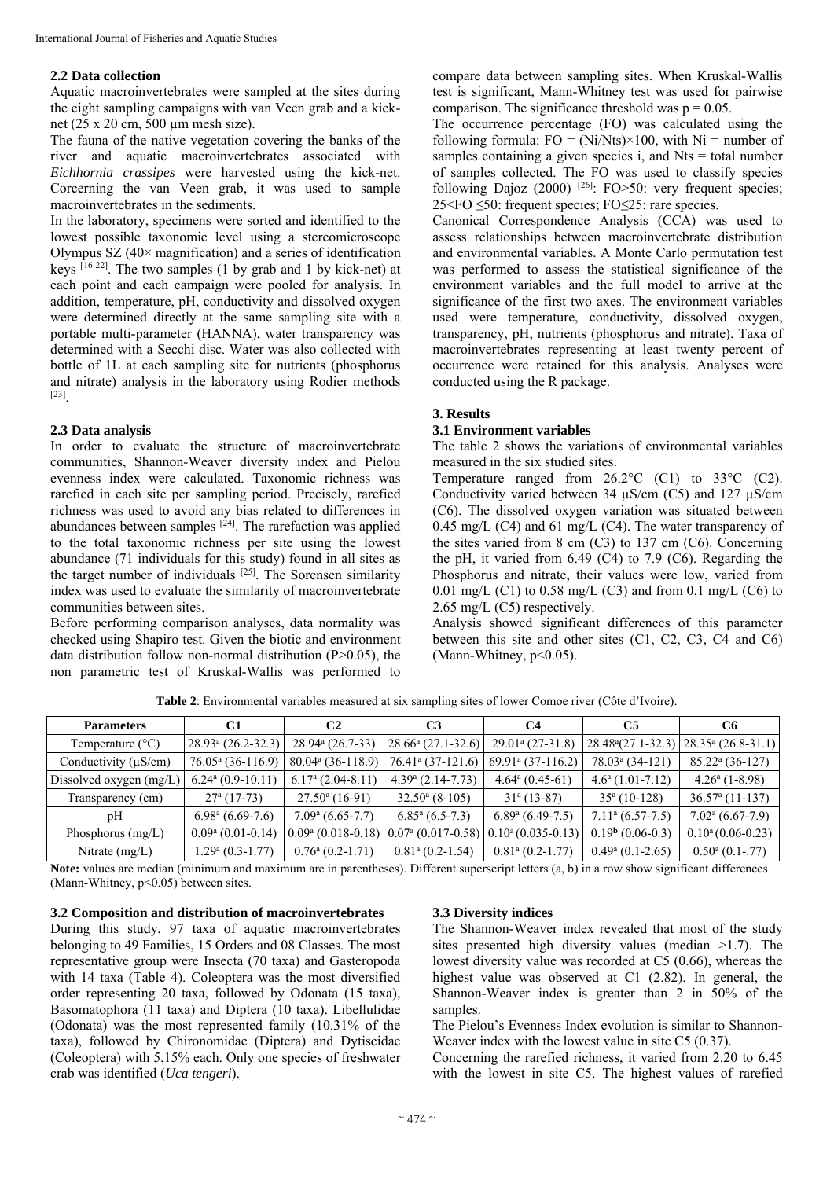## **2.2 Data collection**

Aquatic macroinvertebrates were sampled at the sites during the eight sampling campaigns with van Veen grab and a kicknet (25 x 20 cm, 500 µm mesh size).

The fauna of the native vegetation covering the banks of the river and aquatic macroinvertebrates associated with *Eichhornia crassipes* were harvested using the kick-net. Corcerning the van Veen grab, it was used to sample macroinvertebrates in the sediments.

In the laboratory, specimens were sorted and identified to the lowest possible taxonomic level using a stereomicroscope Olympus SZ  $(40 \times$  magnification) and a series of identification keys  $[16-22]$ . The two samples (1 by grab and 1 by kick-net) at each point and each campaign were pooled for analysis. In addition, temperature, pH, conductivity and dissolved oxygen were determined directly at the same sampling site with a portable multi-parameter (HANNA), water transparency was determined with a Secchi disc. Water was also collected with bottle of 1L at each sampling site for nutrients (phosphorus and nitrate) analysis in the laboratory using Rodier methods [23].

## **2.3 Data analysis**

In order to evaluate the structure of macroinvertebrate communities, Shannon-Weaver diversity index and Pielou evenness index were calculated. Taxonomic richness was rarefied in each site per sampling period. Precisely, rarefied richness was used to avoid any bias related to differences in abundances between samples  $[24]$ . The rarefaction was applied to the total taxonomic richness per site using the lowest abundance (71 individuals for this study) found in all sites as the target number of individuals [25]. The Sorensen similarity index was used to evaluate the similarity of macroinvertebrate communities between sites.

Before performing comparison analyses, data normality was checked using Shapiro test. Given the biotic and environment data distribution follow non-normal distribution (P˃0.05), the non parametric test of Kruskal-Wallis was performed to

compare data between sampling sites. When Kruskal-Wallis test is significant, Mann-Whitney test was used for pairwise comparison. The significance threshold was  $p = 0.05$ .

The occurrence percentage (FO) was calculated using the following formula:  $FO = (Ni/Nts) \times 100$ , with  $Ni =$  number of samples containing a given species  $i$ , and Nts = total number of samples collected. The FO was used to classify species following Dajoz  $(2000)$  <sup>[26]</sup>: FO>50: very frequent species; 25<FO ≤50: frequent species; FO≤25: rare species.

Canonical Correspondence Analysis (CCA) was used to assess relationships between macroinvertebrate distribution and environmental variables. A Monte Carlo permutation test was performed to assess the statistical significance of the environment variables and the full model to arrive at the significance of the first two axes. The environment variables used were temperature, conductivity, dissolved oxygen, transparency, pH, nutrients (phosphorus and nitrate). Taxa of macroinvertebrates representing at least twenty percent of occurrence were retained for this analysis. Analyses were conducted using the R package.

#### **3. Results**

## **3.1 Environment variables**

The table 2 shows the variations of environmental variables measured in the six studied sites.

Temperature ranged from 26.2°C (C1) to 33°C (C2). Conductivity varied between 34 µS/cm (C5) and 127 µS/cm (C6). The dissolved oxygen variation was situated between 0.45 mg/L (C4) and 61 mg/L (C4). The water transparency of the sites varied from 8 cm (C3) to 137 cm (C6). Concerning the pH, it varied from 6.49 (C4) to 7.9 (C6). Regarding the Phosphorus and nitrate, their values were low, varied from 0.01 mg/L (C1) to 0.58 mg/L (C3) and from 0.1 mg/L (C6) to 2.65 mg/L (C5) respectively.

Analysis showed significant differences of this parameter between this site and other sites (C1, C2, C3, C4 and C6) (Mann-Whitney,  $p<0.05$ ).

| <b>Parameters</b>         | C1                              | C2                             | C3                              | C4                               | C5                             | C6                               |
|---------------------------|---------------------------------|--------------------------------|---------------------------------|----------------------------------|--------------------------------|----------------------------------|
| Temperature $(^{\circ}C)$ | $28.93a$ (26.2-32.3)            | $28.94^{\circ}$ (26.7-33)      | $28.66^{\mathrm{a}}(27.1-32.6)$ | $29.01^{\circ}$ (27-31.8)        | $28.48a(27.1-32.3)$            | $28.35^{\mathrm{a}}$ (26.8-31.1) |
| Conductivity $(\mu S/cm)$ | $76.05^a$ (36-116.9)            | $80.04^{\text{a}}$ (36-118.9)  | 76.41 <sup>a</sup> (37-121.6)   | $69.91a$ (37-116.2)              | 78.03 <sup>a</sup> (34-121)    | $85.22^{\mathrm{a}}$ (36-127)    |
| Dissolved oxygen (mg/L)   | $6.24^{\mathrm{a}}$ (0.9-10.11) | $6.17a$ (2.04-8.11)            | $4.39a$ (2.14-7.73)             | $4.64^{\mathrm{a}}$ (0.45-61)    | $4.6^{\text{a}}$ (1.01-7.12)   | $4.26^{\mathrm{a}}$ (1-8.98)     |
| Transparency (cm)         | $27a$ (17-73)                   | $27.50^{\circ}$ (16-91)        | $32.50^{\circ}$ (8-105)         | $31a$ (13-87)                    | $35a$ (10-128)                 | $36.57a$ (11-137)                |
| pH                        | $6.98a$ (6.69-7.6)              | $7.09^{\rm a}$ (6.65-7.7)      | $6.85^{\mathrm{a}}$ (6.5-7.3)   | $6.89^{\mathrm{a}}$ $(6.49-7.5)$ | $7.11a$ (6.57-7.5)             | $7.02^{\text{a}} (6.67 - 7.9)$   |
| Phosphorus $(mg/L)$       | $0.09a$ (0.01-0.14)             | $0.09a$ (0.018-0.18)           | $0.07a$ (0.017-0.58)            | $0.10^a(0.035-0.13)$             | $0.19b$ (0.06-0.3)             | $0.10^a(0.06-0.23)$              |
| Nitrate $(mg/L)$          | $1.29^{\mathrm{a}}$ (0.3-1.77)  | $0.76^{\mathrm{a}}$ (0.2-1.71) | $0.81a$ (0.2-1.54)              | $0.81a$ (0.2-1.77)               | $0.49^{\mathrm{a}}$ (0.1-2.65) | $0.50^{\circ}$ (0.1-.77)         |

**Table 2**: Environmental variables measured at six sampling sites of lower Comoe river (Côte d'Ivoire).

**Note:** values are median (minimum and maximum are in parentheses). Different superscript letters (a, b) in a row show significant differences (Mann-Whitney, p˂0.05) between sites.

## **3.2 Composition and distribution of macroinvertebrates**

During this study, 97 taxa of aquatic macroinvertebrates belonging to 49 Families, 15 Orders and 08 Classes. The most representative group were Insecta (70 taxa) and Gasteropoda with 14 taxa (Table 4). Coleoptera was the most diversified order representing 20 taxa, followed by Odonata (15 taxa), Basomatophora (11 taxa) and Diptera (10 taxa). Libellulidae (Odonata) was the most represented family (10.31% of the taxa), followed by Chironomidae (Diptera) and Dytiscidae (Coleoptera) with 5.15% each. Only one species of freshwater crab was identified (*Uca tengeri*).

#### **3.3 Diversity indices**

The Shannon-Weaver index revealed that most of the study sites presented high diversity values (median  $>1.7$ ). The lowest diversity value was recorded at C5 (0.66), whereas the highest value was observed at C1 (2.82). In general, the Shannon-Weaver index is greater than 2 in 50% of the samples.

The Pielou's Evenness Index evolution is similar to Shannon-Weaver index with the lowest value in site C5 (0.37).

Concerning the rarefied richness, it varied from 2.20 to 6.45 with the lowest in site C5. The highest values of rarefied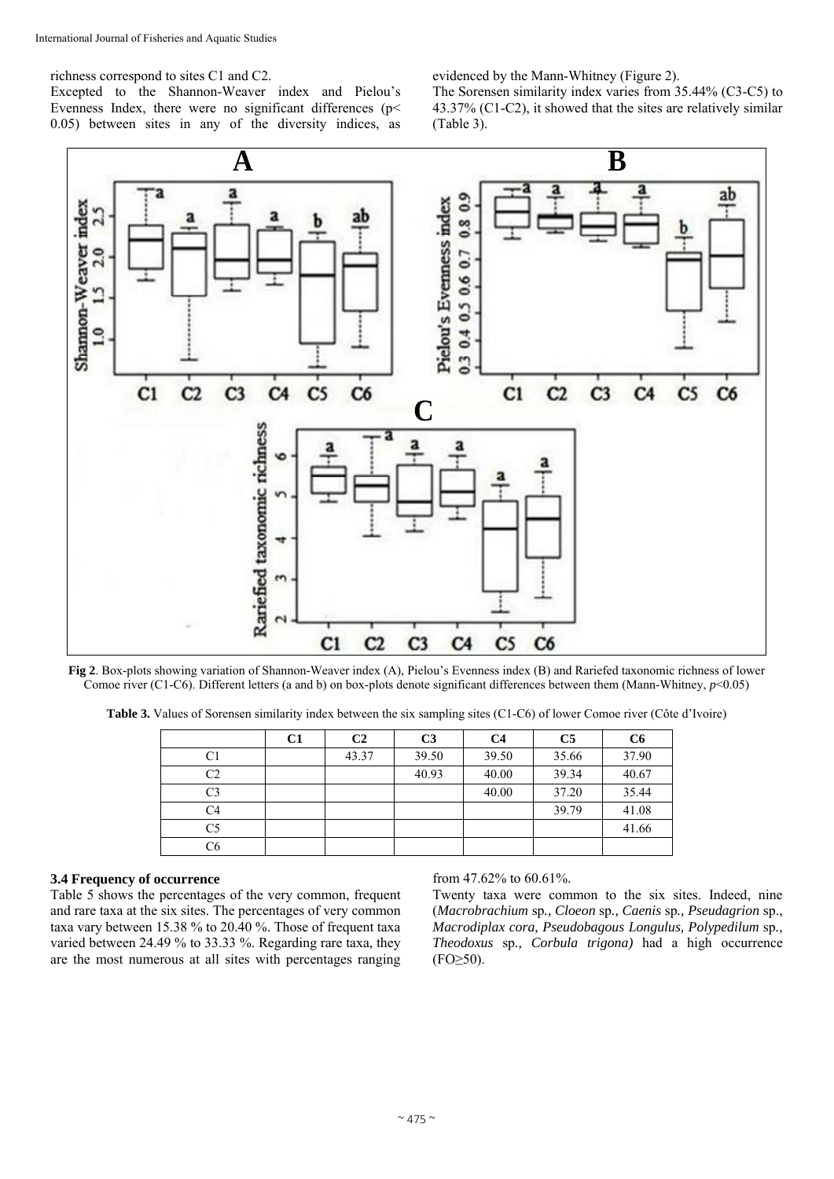richness correspond to sites C1 and C2.

Excepted to the Shannon-Weaver index and Pielou's Evenness Index, there were no significant differences (p< 0.05) between sites in any of the diversity indices, as evidenced by the Mann-Whitney (Figure 2).

The Sorensen similarity index varies from 35.44% (C3-C5) to 43.37% (C1-C2), it showed that the sites are relatively similar (Table 3).



**Fig 2**. Box-plots showing variation of Shannon-Weaver index (A), Pielou's Evenness index (B) and Rariefed taxonomic richness of lower Comoe river (C1-C6). Different letters (a and b) on box-plots denote significant differences between them (Mann-Whitney, *p*<0.05)

**Table 3.** Values of Sorensen similarity index between the six sampling sites (C1-C6) of lower Comoe river (Côte d'Ivoire)

|    | C <sub>1</sub> | C <sub>2</sub> | C <sub>3</sub> | C4    | C <sub>5</sub> | C <sub>6</sub> |
|----|----------------|----------------|----------------|-------|----------------|----------------|
| C1 |                | 43.37          | 39.50          | 39.50 | 35.66          | 37.90          |
| C2 |                |                | 40.93          | 40.00 | 39.34          | 40.67          |
| C3 |                |                |                | 40.00 | 37.20          | 35.44          |
| C4 |                |                |                |       | 39.79          | 41.08          |
| C5 |                |                |                |       |                | 41.66          |
| C6 |                |                |                |       |                |                |

#### **3.4 Frequency of occurrence**

Table 5 shows the percentages of the very common, frequent and rare taxa at the six sites. The percentages of very common taxa vary between 15.38 % to 20.40 %. Those of frequent taxa varied between 24.49 % to 33.33 %. Regarding rare taxa, they are the most numerous at all sites with percentages ranging from 47.62% to 60.61%.

Twenty taxa were common to the six sites. Indeed, nine (*Macrobrachium* sp*., Cloeon* sp*., Caenis* sp*., Pseudagrion* sp., *Macrodiplax cora, Pseudobagous Longulus, Polypedilum* sp*., Theodoxus* sp*., Corbula trigona)* had a high occurrence  $(FO \geq 50)$ .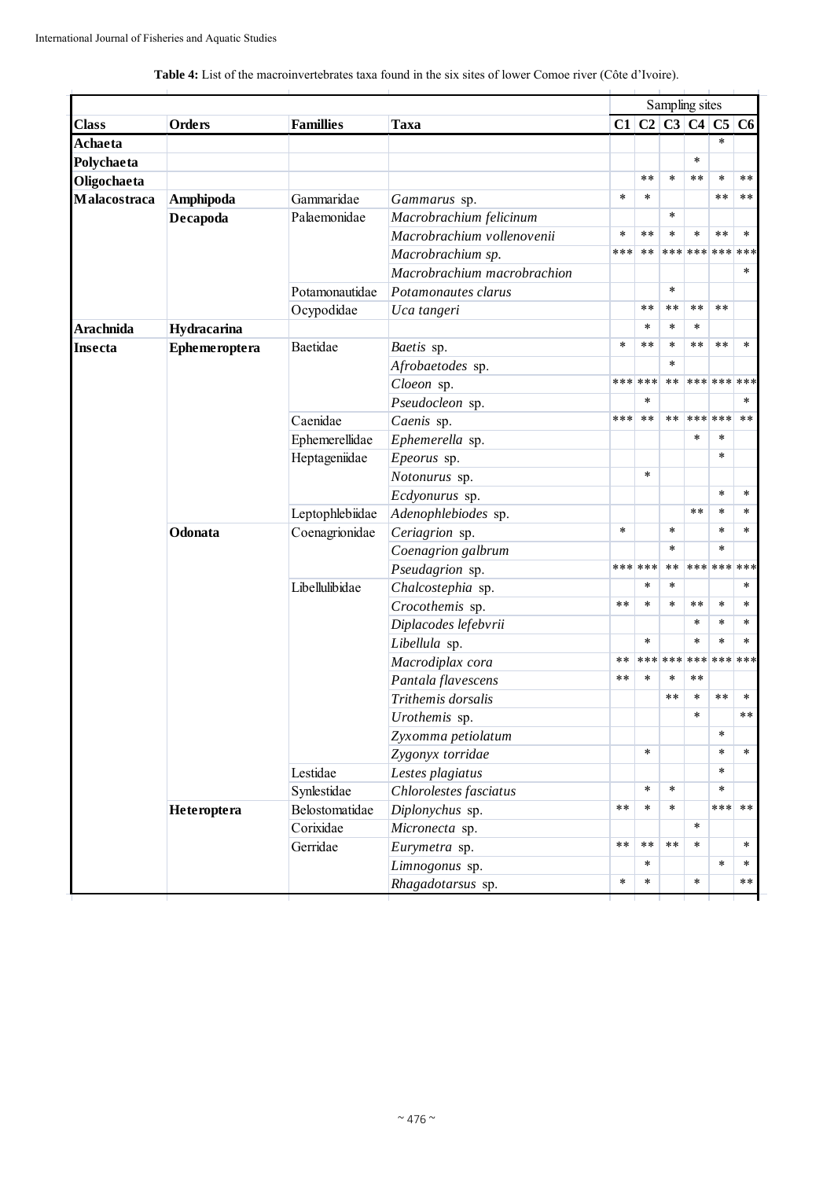|  | <b>Table 4:</b> List of the macroinvertebrates taxa found in the six sites of lower Comoe river (Côte d'Ivoire). |
|--|------------------------------------------------------------------------------------------------------------------|
|--|------------------------------------------------------------------------------------------------------------------|

|                |                                                                                                                                                                                                                                                                                                                                                                                                                                                                                                                                                                                                                                                                                                                                                                                                                                                                                                                                                                                  |                  |                         |                                                                                                                                 |        |        | Sampling sites      |             |        |
|----------------|----------------------------------------------------------------------------------------------------------------------------------------------------------------------------------------------------------------------------------------------------------------------------------------------------------------------------------------------------------------------------------------------------------------------------------------------------------------------------------------------------------------------------------------------------------------------------------------------------------------------------------------------------------------------------------------------------------------------------------------------------------------------------------------------------------------------------------------------------------------------------------------------------------------------------------------------------------------------------------|------------------|-------------------------|---------------------------------------------------------------------------------------------------------------------------------|--------|--------|---------------------|-------------|--------|
| <b>Class</b>   | Orders                                                                                                                                                                                                                                                                                                                                                                                                                                                                                                                                                                                                                                                                                                                                                                                                                                                                                                                                                                           | <b>Famillies</b> | Taxa                    |                                                                                                                                 |        |        |                     |             |        |
| Achaeta        |                                                                                                                                                                                                                                                                                                                                                                                                                                                                                                                                                                                                                                                                                                                                                                                                                                                                                                                                                                                  |                  |                         |                                                                                                                                 |        |        |                     | $\ast$      |        |
| Polychaeta     |                                                                                                                                                                                                                                                                                                                                                                                                                                                                                                                                                                                                                                                                                                                                                                                                                                                                                                                                                                                  |                  |                         |                                                                                                                                 |        |        | $\ast$              |             |        |
| Oligochaeta    |                                                                                                                                                                                                                                                                                                                                                                                                                                                                                                                                                                                                                                                                                                                                                                                                                                                                                                                                                                                  |                  |                         |                                                                                                                                 | **     | $\ast$ | $***$               | $\ast$      | $***$  |
| Malacostraca   | Amphipoda                                                                                                                                                                                                                                                                                                                                                                                                                                                                                                                                                                                                                                                                                                                                                                                                                                                                                                                                                                        | Gammaridae       | Gammarus sp.            | $\ast$                                                                                                                          | $\ast$ |        |                     | **          | $***$  |
|                | Decapoda                                                                                                                                                                                                                                                                                                                                                                                                                                                                                                                                                                                                                                                                                                                                                                                                                                                                                                                                                                         | Palaemonidae     | Macrobrachium felicinum |                                                                                                                                 |        | $\ast$ |                     |             |        |
|                | Macrobrachium vollenovenii<br>Macrobrachium sp.<br>Macrobrachium macrobrachion<br>Potamonautidae<br>Potamonautes clarus<br>Ocypodidae<br>Uca tangeri<br>Hydracarina<br>Baetidae<br>Ephemeroptera<br>Baetis sp.<br>Afrobaetodes sp.<br>Cloeon sp.<br>Pseudocleon sp.<br>Caenidae<br>Caenis sp.<br>Ephemerellidae<br>Ephemerella sp.<br>Heptageniidae<br>Epeorus sp.<br>Notonurus sp.<br>Ecdyonurus sp.<br>Leptophlebiidae<br>Adenophlebiodes sp.<br>Odonata<br>Coenagrionidae<br>Ceriagrion sp.<br>Coenagrion galbrum<br>Pseudagrion sp.<br>Libellulibidae<br>Chalcostephia sp.<br>Crocothemis sp.<br>Diplacodes lefebvrii<br>Libellula sp.<br>Macrodiplax cora<br>Pantala flavescens<br>Trithemis dorsalis<br>Urothemis sp.<br>Zyxomma petiolatum<br>Zygonyx torridae<br>Lestidae<br>Lestes plagiatus<br>Synlestidae<br>Chlorolestes fasciatus<br>Belostomatidae<br>Diplonychus sp.<br>Heteroptera<br>Corixidae<br>Micronecta sp.<br>Gerridae<br>Eurymetra sp.<br>Limnogonus sp. | $\ast$           | **                      | $\ast$                                                                                                                          | $\ast$ | **     | $\ast$              |             |        |
|                |                                                                                                                                                                                                                                                                                                                                                                                                                                                                                                                                                                                                                                                                                                                                                                                                                                                                                                                                                                                  |                  |                         |                                                                                                                                 | $***$  |        | *** *** *** ***     |             |        |
|                |                                                                                                                                                                                                                                                                                                                                                                                                                                                                                                                                                                                                                                                                                                                                                                                                                                                                                                                                                                                  |                  |                         |                                                                                                                                 |        |        |                     |             | $\ast$ |
|                |                                                                                                                                                                                                                                                                                                                                                                                                                                                                                                                                                                                                                                                                                                                                                                                                                                                                                                                                                                                  |                  |                         |                                                                                                                                 |        | $\ast$ |                     |             |        |
|                |                                                                                                                                                                                                                                                                                                                                                                                                                                                                                                                                                                                                                                                                                                                                                                                                                                                                                                                                                                                  |                  |                         |                                                                                                                                 | **     | $***$  | $***$               | **          |        |
| Arachnida      |                                                                                                                                                                                                                                                                                                                                                                                                                                                                                                                                                                                                                                                                                                                                                                                                                                                                                                                                                                                  |                  |                         |                                                                                                                                 | $\ast$ | $\ast$ | $\ast$              |             |        |
| <b>Insecta</b> |                                                                                                                                                                                                                                                                                                                                                                                                                                                                                                                                                                                                                                                                                                                                                                                                                                                                                                                                                                                  |                  |                         | C1 C2 C3 C4 C5 C6<br>***<br>$\ast$<br>*** ***<br>***<br>$\ast$<br>*** ***<br>$**$<br>$***$<br>$***$<br>$***$<br>$***$<br>$\ast$ | **     | $\ast$ | $***$               | $***$       | $\ast$ |
|                |                                                                                                                                                                                                                                                                                                                                                                                                                                                                                                                                                                                                                                                                                                                                                                                                                                                                                                                                                                                  |                  |                         |                                                                                                                                 |        | $\ast$ |                     |             |        |
|                |                                                                                                                                                                                                                                                                                                                                                                                                                                                                                                                                                                                                                                                                                                                                                                                                                                                                                                                                                                                  |                  |                         |                                                                                                                                 |        | $***$  |                     | *** *** *** |        |
|                |                                                                                                                                                                                                                                                                                                                                                                                                                                                                                                                                                                                                                                                                                                                                                                                                                                                                                                                                                                                  |                  |                         |                                                                                                                                 | $\ast$ |        |                     |             | $\ast$ |
|                |                                                                                                                                                                                                                                                                                                                                                                                                                                                                                                                                                                                                                                                                                                                                                                                                                                                                                                                                                                                  |                  |                         |                                                                                                                                 | $***$  | **     |                     | *** ***     | $**$   |
|                | Rhagadotarsus sp.                                                                                                                                                                                                                                                                                                                                                                                                                                                                                                                                                                                                                                                                                                                                                                                                                                                                                                                                                                |                  |                         |                                                                                                                                 |        | $\ast$ | $\ast$              |             |        |
|                |                                                                                                                                                                                                                                                                                                                                                                                                                                                                                                                                                                                                                                                                                                                                                                                                                                                                                                                                                                                  |                  |                         |                                                                                                                                 |        |        |                     | $\ast$      |        |
|                |                                                                                                                                                                                                                                                                                                                                                                                                                                                                                                                                                                                                                                                                                                                                                                                                                                                                                                                                                                                  |                  |                         | $\ast$                                                                                                                          |        |        |                     |             |        |
|                |                                                                                                                                                                                                                                                                                                                                                                                                                                                                                                                                                                                                                                                                                                                                                                                                                                                                                                                                                                                  |                  |                         |                                                                                                                                 |        |        |                     | *           | $\ast$ |
|                |                                                                                                                                                                                                                                                                                                                                                                                                                                                                                                                                                                                                                                                                                                                                                                                                                                                                                                                                                                                  |                  |                         |                                                                                                                                 |        |        | $**$                | $\ast$      | $\ast$ |
|                |                                                                                                                                                                                                                                                                                                                                                                                                                                                                                                                                                                                                                                                                                                                                                                                                                                                                                                                                                                                  |                  |                         |                                                                                                                                 |        | $\ast$ |                     | $\ast$      | $\ast$ |
|                |                                                                                                                                                                                                                                                                                                                                                                                                                                                                                                                                                                                                                                                                                                                                                                                                                                                                                                                                                                                  |                  |                         |                                                                                                                                 |        | $\ast$ |                     | $\ast$      |        |
|                |                                                                                                                                                                                                                                                                                                                                                                                                                                                                                                                                                                                                                                                                                                                                                                                                                                                                                                                                                                                  |                  |                         |                                                                                                                                 |        | $***$  |                     | *** *** *** |        |
|                |                                                                                                                                                                                                                                                                                                                                                                                                                                                                                                                                                                                                                                                                                                                                                                                                                                                                                                                                                                                  |                  |                         |                                                                                                                                 | $\ast$ | $\ast$ |                     |             | $\ast$ |
|                |                                                                                                                                                                                                                                                                                                                                                                                                                                                                                                                                                                                                                                                                                                                                                                                                                                                                                                                                                                                  |                  |                         |                                                                                                                                 | $\ast$ | $\ast$ | $***$               | $\ast$      | $\ast$ |
|                |                                                                                                                                                                                                                                                                                                                                                                                                                                                                                                                                                                                                                                                                                                                                                                                                                                                                                                                                                                                  |                  |                         |                                                                                                                                 |        |        | $\ast$              | $\ast$      | *      |
|                |                                                                                                                                                                                                                                                                                                                                                                                                                                                                                                                                                                                                                                                                                                                                                                                                                                                                                                                                                                                  |                  |                         |                                                                                                                                 | $\ast$ |        | $\ast$              | $\ast$      | $\ast$ |
|                |                                                                                                                                                                                                                                                                                                                                                                                                                                                                                                                                                                                                                                                                                                                                                                                                                                                                                                                                                                                  |                  |                         |                                                                                                                                 |        |        | *** *** *** *** *** |             |        |
|                |                                                                                                                                                                                                                                                                                                                                                                                                                                                                                                                                                                                                                                                                                                                                                                                                                                                                                                                                                                                  |                  |                         |                                                                                                                                 | $\ast$ | $\ast$ | $***$               |             |        |
|                |                                                                                                                                                                                                                                                                                                                                                                                                                                                                                                                                                                                                                                                                                                                                                                                                                                                                                                                                                                                  |                  |                         |                                                                                                                                 |        | $***$  | $\ast$              | **          | $\ast$ |
|                |                                                                                                                                                                                                                                                                                                                                                                                                                                                                                                                                                                                                                                                                                                                                                                                                                                                                                                                                                                                  |                  |                         |                                                                                                                                 |        |        | ∗                   |             | **     |
|                |                                                                                                                                                                                                                                                                                                                                                                                                                                                                                                                                                                                                                                                                                                                                                                                                                                                                                                                                                                                  |                  |                         |                                                                                                                                 |        |        |                     | $\ast$      |        |
|                |                                                                                                                                                                                                                                                                                                                                                                                                                                                                                                                                                                                                                                                                                                                                                                                                                                                                                                                                                                                  |                  |                         |                                                                                                                                 | $\ast$ |        |                     | $\ast$      | $\ast$ |
|                |                                                                                                                                                                                                                                                                                                                                                                                                                                                                                                                                                                                                                                                                                                                                                                                                                                                                                                                                                                                  |                  |                         |                                                                                                                                 |        |        |                     | $\ast$      |        |
|                |                                                                                                                                                                                                                                                                                                                                                                                                                                                                                                                                                                                                                                                                                                                                                                                                                                                                                                                                                                                  |                  |                         |                                                                                                                                 | $\ast$ | $\ast$ |                     | $\ast$      |        |
|                |                                                                                                                                                                                                                                                                                                                                                                                                                                                                                                                                                                                                                                                                                                                                                                                                                                                                                                                                                                                  |                  |                         |                                                                                                                                 | $\ast$ | $\ast$ |                     | *** **      |        |
|                |                                                                                                                                                                                                                                                                                                                                                                                                                                                                                                                                                                                                                                                                                                                                                                                                                                                                                                                                                                                  |                  |                         |                                                                                                                                 |        |        | $\ast$              |             |        |
|                |                                                                                                                                                                                                                                                                                                                                                                                                                                                                                                                                                                                                                                                                                                                                                                                                                                                                                                                                                                                  |                  |                         |                                                                                                                                 | $***$  | $***$  | $\ast$              |             | $\ast$ |
|                |                                                                                                                                                                                                                                                                                                                                                                                                                                                                                                                                                                                                                                                                                                                                                                                                                                                                                                                                                                                  |                  |                         |                                                                                                                                 | $\ast$ |        |                     | $\ast$      | $\ast$ |
|                |                                                                                                                                                                                                                                                                                                                                                                                                                                                                                                                                                                                                                                                                                                                                                                                                                                                                                                                                                                                  |                  |                         |                                                                                                                                 | $\ast$ |        | $\ast$              |             | **     |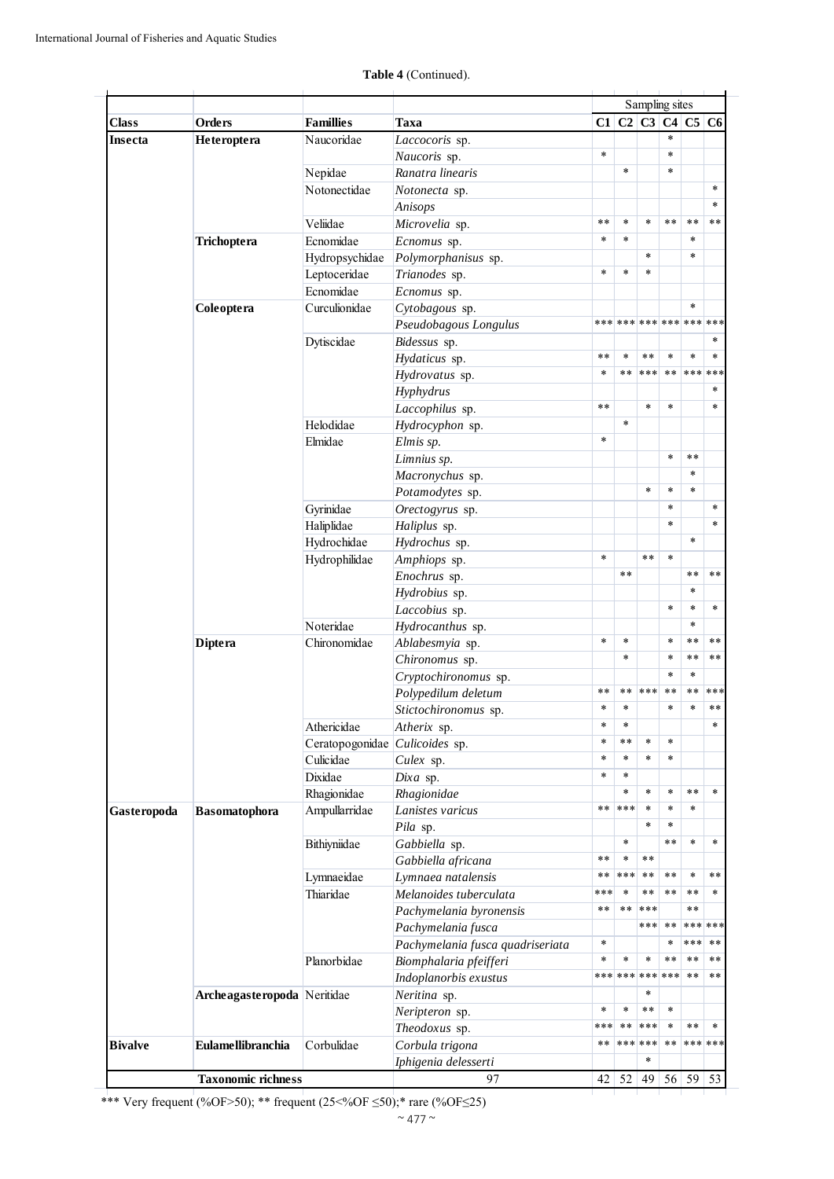|                |                                                                                                                                                                                                                                                                                                                                                                                                                                                                                                                                                                                                                                                                                                                                                                                                                                                                                                                                                                                                                                                                                                                                                                                                                                                                                                                                                                                                                                                                                                                                                                                                                   |                  |                  |                                                                                                                                                                                                                                                                                            |                                   | Sampling sites  |               |                 |       |
|----------------|-------------------------------------------------------------------------------------------------------------------------------------------------------------------------------------------------------------------------------------------------------------------------------------------------------------------------------------------------------------------------------------------------------------------------------------------------------------------------------------------------------------------------------------------------------------------------------------------------------------------------------------------------------------------------------------------------------------------------------------------------------------------------------------------------------------------------------------------------------------------------------------------------------------------------------------------------------------------------------------------------------------------------------------------------------------------------------------------------------------------------------------------------------------------------------------------------------------------------------------------------------------------------------------------------------------------------------------------------------------------------------------------------------------------------------------------------------------------------------------------------------------------------------------------------------------------------------------------------------------------|------------------|------------------|--------------------------------------------------------------------------------------------------------------------------------------------------------------------------------------------------------------------------------------------------------------------------------------------|-----------------------------------|-----------------|---------------|-----------------|-------|
| <b>Class</b>   | Orders                                                                                                                                                                                                                                                                                                                                                                                                                                                                                                                                                                                                                                                                                                                                                                                                                                                                                                                                                                                                                                                                                                                                                                                                                                                                                                                                                                                                                                                                                                                                                                                                            | <b>Famillies</b> | Taxa             |                                                                                                                                                                                                                                                                                            |                                   |                 |               |                 |       |
| Insecta        | Heteroptera                                                                                                                                                                                                                                                                                                                                                                                                                                                                                                                                                                                                                                                                                                                                                                                                                                                                                                                                                                                                                                                                                                                                                                                                                                                                                                                                                                                                                                                                                                                                                                                                       | Naucoridae       | Laccocoris sp.   |                                                                                                                                                                                                                                                                                            |                                   |                 | $\ast$        |                 |       |
|                |                                                                                                                                                                                                                                                                                                                                                                                                                                                                                                                                                                                                                                                                                                                                                                                                                                                                                                                                                                                                                                                                                                                                                                                                                                                                                                                                                                                                                                                                                                                                                                                                                   |                  | Naucoris sp.     | $\ast$                                                                                                                                                                                                                                                                                     |                                   |                 | $\ast$        |                 |       |
|                |                                                                                                                                                                                                                                                                                                                                                                                                                                                                                                                                                                                                                                                                                                                                                                                                                                                                                                                                                                                                                                                                                                                                                                                                                                                                                                                                                                                                                                                                                                                                                                                                                   | Nepidae          | Ranatra linearis |                                                                                                                                                                                                                                                                                            | $\ast$                            |                 | $\ast$        |                 |       |
|                | Notonectidae<br>Notonecta sp.<br>Anisops<br>Veliidae<br>Microvelia sp.<br>Ecnomidae<br>Trichoptera<br>Ecnomus sp.<br>Hydropsychidae<br>Polymorphanisus sp.<br>Leptoceridae<br>Trianodes sp.<br>Ecnomidae<br>Ecnomus sp.<br>Curculionidae<br>Coleoptera<br>Cytobagous sp.<br>Pseudobagous Longulus<br>Dytiscidae<br>Bidessus sp.<br>Hydaticus sp.<br>Hydrovatus sp.<br>Hyphydrus<br>Laccophilus sp.<br>Helodidae<br>Hydrocyphon sp.<br>Elmidae<br>Elmis sp.<br>Limnius sp.<br>Macronychus sp.<br>Potamodytes sp.<br>Gyrinidae<br>Orectogyrus sp.<br>Haliplidae<br>Haliplus sp.<br>Hydrochidae<br>Hydrochus sp.<br>Hydrophilidae<br>Amphiops sp.<br>Enochrus sp.<br>Hydrobius sp.<br>Laccobius sp.<br>Noteridae<br>Hydrocanthus sp.<br>Chironomidae<br>Ablabesmyia sp.<br><b>Diptera</b><br>Chironomus sp.<br>Cryptochironomus sp.<br>Polypedilum deletum<br>Stictochironomus sp.<br>Athericidae<br>Atherix sp.<br>Ceratopogonidae <i>Culicoides</i> sp.<br>Culicidae<br>Culex sp.<br>Dixidae<br>Dixa sp.<br>Rhagionidae<br>Rhagionidae<br>Ampullarridae<br>Lanistes varicus<br><b>Basomatophora</b><br>Pila sp.<br>Bithiyniidae<br>Gabbiella sp.<br>Gabbiella africana<br>Lymnaea natalensis<br>Lymnaeidae<br>Thiaridae<br>Melanoides tuberculata<br>Pachymelania byronensis<br>Pachymelania fusca<br>Pachymelania fusca quadriseriata<br>Planorbidae<br>Biomphalaria pfeifferi<br>Indoplanorbis exustus<br>Archeagasteropoda Neritidae<br>Neritina sp.<br>Neripteron sp.<br>Theodoxus sp.<br><b>Eulamellibranchia</b><br>Corbulidae<br>Corbula trigona<br>Iphigenia delesserti<br><b>Taxonomic richness</b><br>97 |                  |                  |                                                                                                                                                                                                                                                                                            |                                   |                 |               |                 |       |
|                |                                                                                                                                                                                                                                                                                                                                                                                                                                                                                                                                                                                                                                                                                                                                                                                                                                                                                                                                                                                                                                                                                                                                                                                                                                                                                                                                                                                                                                                                                                                                                                                                                   |                  |                  |                                                                                                                                                                                                                                                                                            |                                   |                 |               |                 |       |
|                |                                                                                                                                                                                                                                                                                                                                                                                                                                                                                                                                                                                                                                                                                                                                                                                                                                                                                                                                                                                                                                                                                                                                                                                                                                                                                                                                                                                                                                                                                                                                                                                                                   |                  |                  | $\ast$ $\ast$                                                                                                                                                                                                                                                                              | $\ast$                            | $\ast$          | $* *$         | $\star$ $\star$ | **    |
|                |                                                                                                                                                                                                                                                                                                                                                                                                                                                                                                                                                                                                                                                                                                                                                                                                                                                                                                                                                                                                                                                                                                                                                                                                                                                                                                                                                                                                                                                                                                                                                                                                                   |                  |                  | $\ast$                                                                                                                                                                                                                                                                                     | $\ast$                            |                 |               | $\ast$          |       |
|                |                                                                                                                                                                                                                                                                                                                                                                                                                                                                                                                                                                                                                                                                                                                                                                                                                                                                                                                                                                                                                                                                                                                                                                                                                                                                                                                                                                                                                                                                                                                                                                                                                   |                  |                  |                                                                                                                                                                                                                                                                                            |                                   | $\star$         |               | $\ast$          |       |
|                |                                                                                                                                                                                                                                                                                                                                                                                                                                                                                                                                                                                                                                                                                                                                                                                                                                                                                                                                                                                                                                                                                                                                                                                                                                                                                                                                                                                                                                                                                                                                                                                                                   |                  |                  | $\ast$                                                                                                                                                                                                                                                                                     | $\ast$                            | $\ast$          |               |                 |       |
|                |                                                                                                                                                                                                                                                                                                                                                                                                                                                                                                                                                                                                                                                                                                                                                                                                                                                                                                                                                                                                                                                                                                                                                                                                                                                                                                                                                                                                                                                                                                                                                                                                                   |                  |                  | $C1$ $C2$ $C3$ $C4$ $C5$ $C6$<br>*** *** *** *** *** ***<br>$\ast$ $\ast$<br>$\ast$<br>$* *$<br>$\ast$<br>$\ast$<br>$\ast$<br>$* *$<br>×<br>$\ast$<br>$\ast$<br>$\ast$<br>$\ast$<br>$* *$<br>**<br>$\ast\ast$<br>***<br>$**$<br>$\ast$<br>$\ast$<br>*** *** *** ***<br>$\ast$<br>***<br>** |                                   |                 |               |                 |       |
|                |                                                                                                                                                                                                                                                                                                                                                                                                                                                                                                                                                                                                                                                                                                                                                                                                                                                                                                                                                                                                                                                                                                                                                                                                                                                                                                                                                                                                                                                                                                                                                                                                                   |                  |                  |                                                                                                                                                                                                                                                                                            |                                   |                 |               | $\ast$          |       |
|                |                                                                                                                                                                                                                                                                                                                                                                                                                                                                                                                                                                                                                                                                                                                                                                                                                                                                                                                                                                                                                                                                                                                                                                                                                                                                                                                                                                                                                                                                                                                                                                                                                   |                  |                  |                                                                                                                                                                                                                                                                                            |                                   |                 |               |                 |       |
|                |                                                                                                                                                                                                                                                                                                                                                                                                                                                                                                                                                                                                                                                                                                                                                                                                                                                                                                                                                                                                                                                                                                                                                                                                                                                                                                                                                                                                                                                                                                                                                                                                                   |                  |                  |                                                                                                                                                                                                                                                                                            |                                   |                 |               |                 |       |
|                |                                                                                                                                                                                                                                                                                                                                                                                                                                                                                                                                                                                                                                                                                                                                                                                                                                                                                                                                                                                                                                                                                                                                                                                                                                                                                                                                                                                                                                                                                                                                                                                                                   |                  |                  |                                                                                                                                                                                                                                                                                            | $\ast$                            | $* *$           | $\ast$        | $\ast$          |       |
|                |                                                                                                                                                                                                                                                                                                                                                                                                                                                                                                                                                                                                                                                                                                                                                                                                                                                                                                                                                                                                                                                                                                                                                                                                                                                                                                                                                                                                                                                                                                                                                                                                                   |                  |                  |                                                                                                                                                                                                                                                                                            | **                                | ***             | **            | *** ***         |       |
|                |                                                                                                                                                                                                                                                                                                                                                                                                                                                                                                                                                                                                                                                                                                                                                                                                                                                                                                                                                                                                                                                                                                                                                                                                                                                                                                                                                                                                                                                                                                                                                                                                                   |                  |                  |                                                                                                                                                                                                                                                                                            |                                   |                 |               |                 |       |
|                |                                                                                                                                                                                                                                                                                                                                                                                                                                                                                                                                                                                                                                                                                                                                                                                                                                                                                                                                                                                                                                                                                                                                                                                                                                                                                                                                                                                                                                                                                                                                                                                                                   |                  |                  |                                                                                                                                                                                                                                                                                            |                                   | $\star$         | $\ast$        |                 |       |
|                |                                                                                                                                                                                                                                                                                                                                                                                                                                                                                                                                                                                                                                                                                                                                                                                                                                                                                                                                                                                                                                                                                                                                                                                                                                                                                                                                                                                                                                                                                                                                                                                                                   |                  |                  |                                                                                                                                                                                                                                                                                            | $\ast$                            |                 |               |                 |       |
|                |                                                                                                                                                                                                                                                                                                                                                                                                                                                                                                                                                                                                                                                                                                                                                                                                                                                                                                                                                                                                                                                                                                                                                                                                                                                                                                                                                                                                                                                                                                                                                                                                                   |                  |                  |                                                                                                                                                                                                                                                                                            |                                   |                 |               |                 |       |
|                |                                                                                                                                                                                                                                                                                                                                                                                                                                                                                                                                                                                                                                                                                                                                                                                                                                                                                                                                                                                                                                                                                                                                                                                                                                                                                                                                                                                                                                                                                                                                                                                                                   |                  |                  |                                                                                                                                                                                                                                                                                            |                                   |                 | $\ast$        | $\star$ $\star$ |       |
|                |                                                                                                                                                                                                                                                                                                                                                                                                                                                                                                                                                                                                                                                                                                                                                                                                                                                                                                                                                                                                                                                                                                                                                                                                                                                                                                                                                                                                                                                                                                                                                                                                                   |                  |                  |                                                                                                                                                                                                                                                                                            |                                   |                 |               | $\ast$          |       |
|                |                                                                                                                                                                                                                                                                                                                                                                                                                                                                                                                                                                                                                                                                                                                                                                                                                                                                                                                                                                                                                                                                                                                                                                                                                                                                                                                                                                                                                                                                                                                                                                                                                   |                  |                  |                                                                                                                                                                                                                                                                                            |                                   | $\ast$          | $\ast$        | $\star$         |       |
|                |                                                                                                                                                                                                                                                                                                                                                                                                                                                                                                                                                                                                                                                                                                                                                                                                                                                                                                                                                                                                                                                                                                                                                                                                                                                                                                                                                                                                                                                                                                                                                                                                                   |                  |                  |                                                                                                                                                                                                                                                                                            |                                   |                 | $\ast$        |                 |       |
|                |                                                                                                                                                                                                                                                                                                                                                                                                                                                                                                                                                                                                                                                                                                                                                                                                                                                                                                                                                                                                                                                                                                                                                                                                                                                                                                                                                                                                                                                                                                                                                                                                                   |                  |                  |                                                                                                                                                                                                                                                                                            |                                   |                 | $\ast$        |                 |       |
|                |                                                                                                                                                                                                                                                                                                                                                                                                                                                                                                                                                                                                                                                                                                                                                                                                                                                                                                                                                                                                                                                                                                                                                                                                                                                                                                                                                                                                                                                                                                                                                                                                                   |                  |                  |                                                                                                                                                                                                                                                                                            |                                   |                 |               | $\ast$          |       |
|                |                                                                                                                                                                                                                                                                                                                                                                                                                                                                                                                                                                                                                                                                                                                                                                                                                                                                                                                                                                                                                                                                                                                                                                                                                                                                                                                                                                                                                                                                                                                                                                                                                   |                  |                  |                                                                                                                                                                                                                                                                                            |                                   | $* *$           | $\ast$        |                 |       |
|                |                                                                                                                                                                                                                                                                                                                                                                                                                                                                                                                                                                                                                                                                                                                                                                                                                                                                                                                                                                                                                                                                                                                                                                                                                                                                                                                                                                                                                                                                                                                                                                                                                   |                  |                  |                                                                                                                                                                                                                                                                                            |                                   |                 |               |                 |       |
|                |                                                                                                                                                                                                                                                                                                                                                                                                                                                                                                                                                                                                                                                                                                                                                                                                                                                                                                                                                                                                                                                                                                                                                                                                                                                                                                                                                                                                                                                                                                                                                                                                                   |                  |                  |                                                                                                                                                                                                                                                                                            | $**$                              |                 |               | $\star\star$    |       |
|                |                                                                                                                                                                                                                                                                                                                                                                                                                                                                                                                                                                                                                                                                                                                                                                                                                                                                                                                                                                                                                                                                                                                                                                                                                                                                                                                                                                                                                                                                                                                                                                                                                   |                  |                  |                                                                                                                                                                                                                                                                                            |                                   |                 |               | $\ast$          |       |
|                |                                                                                                                                                                                                                                                                                                                                                                                                                                                                                                                                                                                                                                                                                                                                                                                                                                                                                                                                                                                                                                                                                                                                                                                                                                                                                                                                                                                                                                                                                                                                                                                                                   |                  |                  |                                                                                                                                                                                                                                                                                            |                                   |                 | $\ast$        | $\ast$          |       |
|                |                                                                                                                                                                                                                                                                                                                                                                                                                                                                                                                                                                                                                                                                                                                                                                                                                                                                                                                                                                                                                                                                                                                                                                                                                                                                                                                                                                                                                                                                                                                                                                                                                   |                  |                  |                                                                                                                                                                                                                                                                                            |                                   |                 |               | $\ast$          |       |
|                |                                                                                                                                                                                                                                                                                                                                                                                                                                                                                                                                                                                                                                                                                                                                                                                                                                                                                                                                                                                                                                                                                                                                                                                                                                                                                                                                                                                                                                                                                                                                                                                                                   |                  |                  |                                                                                                                                                                                                                                                                                            | $\ast$                            |                 | $\ast$        | $* *$           |       |
|                |                                                                                                                                                                                                                                                                                                                                                                                                                                                                                                                                                                                                                                                                                                                                                                                                                                                                                                                                                                                                                                                                                                                                                                                                                                                                                                                                                                                                                                                                                                                                                                                                                   |                  |                  |                                                                                                                                                                                                                                                                                            | $\ast$                            |                 | $\ast$        | $**$            |       |
|                |                                                                                                                                                                                                                                                                                                                                                                                                                                                                                                                                                                                                                                                                                                                                                                                                                                                                                                                                                                                                                                                                                                                                                                                                                                                                                                                                                                                                                                                                                                                                                                                                                   |                  |                  |                                                                                                                                                                                                                                                                                            |                                   |                 | $\ast$        | $\ast$          |       |
|                |                                                                                                                                                                                                                                                                                                                                                                                                                                                                                                                                                                                                                                                                                                                                                                                                                                                                                                                                                                                                                                                                                                                                                                                                                                                                                                                                                                                                                                                                                                                                                                                                                   |                  |                  |                                                                                                                                                                                                                                                                                            | **                                | ***             | **            | $\star\star$    | ***   |
|                |                                                                                                                                                                                                                                                                                                                                                                                                                                                                                                                                                                                                                                                                                                                                                                                                                                                                                                                                                                                                                                                                                                                                                                                                                                                                                                                                                                                                                                                                                                                                                                                                                   |                  |                  |                                                                                                                                                                                                                                                                                            | ×                                 |                 |               |                 |       |
|                |                                                                                                                                                                                                                                                                                                                                                                                                                                                                                                                                                                                                                                                                                                                                                                                                                                                                                                                                                                                                                                                                                                                                                                                                                                                                                                                                                                                                                                                                                                                                                                                                                   |                  |                  |                                                                                                                                                                                                                                                                                            | $\ast$                            |                 |               |                 |       |
|                |                                                                                                                                                                                                                                                                                                                                                                                                                                                                                                                                                                                                                                                                                                                                                                                                                                                                                                                                                                                                                                                                                                                                                                                                                                                                                                                                                                                                                                                                                                                                                                                                                   |                  |                  |                                                                                                                                                                                                                                                                                            | **                                | $\ast$          | $\ast$        |                 |       |
|                |                                                                                                                                                                                                                                                                                                                                                                                                                                                                                                                                                                                                                                                                                                                                                                                                                                                                                                                                                                                                                                                                                                                                                                                                                                                                                                                                                                                                                                                                                                                                                                                                                   |                  |                  |                                                                                                                                                                                                                                                                                            | $\ast$                            | $\ast$          | $\ast$        |                 |       |
|                |                                                                                                                                                                                                                                                                                                                                                                                                                                                                                                                                                                                                                                                                                                                                                                                                                                                                                                                                                                                                                                                                                                                                                                                                                                                                                                                                                                                                                                                                                                                                                                                                                   |                  |                  |                                                                                                                                                                                                                                                                                            | $\ast$                            |                 |               |                 |       |
|                |                                                                                                                                                                                                                                                                                                                                                                                                                                                                                                                                                                                                                                                                                                                                                                                                                                                                                                                                                                                                                                                                                                                                                                                                                                                                                                                                                                                                                                                                                                                                                                                                                   |                  |                  |                                                                                                                                                                                                                                                                                            | $\ast$                            | $\ast$          | $\ast$        | $* *$           |       |
| Gasteropoda    |                                                                                                                                                                                                                                                                                                                                                                                                                                                                                                                                                                                                                                                                                                                                                                                                                                                                                                                                                                                                                                                                                                                                                                                                                                                                                                                                                                                                                                                                                                                                                                                                                   |                  |                  |                                                                                                                                                                                                                                                                                            | ***                               | $\ast$          | $\ast$        | $\ast$          |       |
|                |                                                                                                                                                                                                                                                                                                                                                                                                                                                                                                                                                                                                                                                                                                                                                                                                                                                                                                                                                                                                                                                                                                                                                                                                                                                                                                                                                                                                                                                                                                                                                                                                                   |                  |                  |                                                                                                                                                                                                                                                                                            |                                   | $\ast$          | $\ast$        |                 |       |
|                |                                                                                                                                                                                                                                                                                                                                                                                                                                                                                                                                                                                                                                                                                                                                                                                                                                                                                                                                                                                                                                                                                                                                                                                                                                                                                                                                                                                                                                                                                                                                                                                                                   |                  |                  |                                                                                                                                                                                                                                                                                            | $\ast$                            |                 | $* *$         | $\star$         |       |
|                |                                                                                                                                                                                                                                                                                                                                                                                                                                                                                                                                                                                                                                                                                                                                                                                                                                                                                                                                                                                                                                                                                                                                                                                                                                                                                                                                                                                                                                                                                                                                                                                                                   |                  |                  |                                                                                                                                                                                                                                                                                            | $\ast$                            | $\star$ $\star$ |               |                 |       |
|                |                                                                                                                                                                                                                                                                                                                                                                                                                                                                                                                                                                                                                                                                                                                                                                                                                                                                                                                                                                                                                                                                                                                                                                                                                                                                                                                                                                                                                                                                                                                                                                                                                   |                  |                  |                                                                                                                                                                                                                                                                                            | ***                               | $**$            | **            | $\ast$          |       |
|                |                                                                                                                                                                                                                                                                                                                                                                                                                                                                                                                                                                                                                                                                                                                                                                                                                                                                                                                                                                                                                                                                                                                                                                                                                                                                                                                                                                                                                                                                                                                                                                                                                   |                  |                  |                                                                                                                                                                                                                                                                                            | $\ast$                            | $**$            | **            | $**$            |       |
|                |                                                                                                                                                                                                                                                                                                                                                                                                                                                                                                                                                                                                                                                                                                                                                                                                                                                                                                                                                                                                                                                                                                                                                                                                                                                                                                                                                                                                                                                                                                                                                                                                                   |                  |                  |                                                                                                                                                                                                                                                                                            | $* *$                             | ***             |               | $**$            |       |
|                |                                                                                                                                                                                                                                                                                                                                                                                                                                                                                                                                                                                                                                                                                                                                                                                                                                                                                                                                                                                                                                                                                                                                                                                                                                                                                                                                                                                                                                                                                                                                                                                                                   |                  |                  |                                                                                                                                                                                                                                                                                            |                                   | ***             | **            | *** ***         |       |
|                |                                                                                                                                                                                                                                                                                                                                                                                                                                                                                                                                                                                                                                                                                                                                                                                                                                                                                                                                                                                                                                                                                                                                                                                                                                                                                                                                                                                                                                                                                                                                                                                                                   |                  |                  |                                                                                                                                                                                                                                                                                            |                                   |                 | $\ast$        | ***             | $* *$ |
|                |                                                                                                                                                                                                                                                                                                                                                                                                                                                                                                                                                                                                                                                                                                                                                                                                                                                                                                                                                                                                                                                                                                                                                                                                                                                                                                                                                                                                                                                                                                                                                                                                                   |                  |                  |                                                                                                                                                                                                                                                                                            | $\ast$                            | $\ast$          | $* *$         | $**$            |       |
|                |                                                                                                                                                                                                                                                                                                                                                                                                                                                                                                                                                                                                                                                                                                                                                                                                                                                                                                                                                                                                                                                                                                                                                                                                                                                                                                                                                                                                                                                                                                                                                                                                                   |                  |                  |                                                                                                                                                                                                                                                                                            |                                   |                 |               | $\star$ $\star$ |       |
|                |                                                                                                                                                                                                                                                                                                                                                                                                                                                                                                                                                                                                                                                                                                                                                                                                                                                                                                                                                                                                                                                                                                                                                                                                                                                                                                                                                                                                                                                                                                                                                                                                                   |                  |                  |                                                                                                                                                                                                                                                                                            |                                   | $\ast$          |               |                 |       |
|                |                                                                                                                                                                                                                                                                                                                                                                                                                                                                                                                                                                                                                                                                                                                                                                                                                                                                                                                                                                                                                                                                                                                                                                                                                                                                                                                                                                                                                                                                                                                                                                                                                   |                  |                  |                                                                                                                                                                                                                                                                                            | *                                 | $\star$ $\star$ | $\ast$        |                 |       |
|                |                                                                                                                                                                                                                                                                                                                                                                                                                                                                                                                                                                                                                                                                                                                                                                                                                                                                                                                                                                                                                                                                                                                                                                                                                                                                                                                                                                                                                                                                                                                                                                                                                   |                  |                  |                                                                                                                                                                                                                                                                                            | $* *$                             | ***             | $\ast$        | $\star$ $\star$ |       |
|                |                                                                                                                                                                                                                                                                                                                                                                                                                                                                                                                                                                                                                                                                                                                                                                                                                                                                                                                                                                                                                                                                                                                                                                                                                                                                                                                                                                                                                                                                                                                                                                                                                   |                  |                  |                                                                                                                                                                                                                                                                                            |                                   | *** ***         | $**$          | *** ***         |       |
| <b>Bivalve</b> |                                                                                                                                                                                                                                                                                                                                                                                                                                                                                                                                                                                                                                                                                                                                                                                                                                                                                                                                                                                                                                                                                                                                                                                                                                                                                                                                                                                                                                                                                                                                                                                                                   |                  |                  |                                                                                                                                                                                                                                                                                            |                                   | $\ast$          |               |                 |       |
|                |                                                                                                                                                                                                                                                                                                                                                                                                                                                                                                                                                                                                                                                                                                                                                                                                                                                                                                                                                                                                                                                                                                                                                                                                                                                                                                                                                                                                                                                                                                                                                                                                                   |                  |                  |                                                                                                                                                                                                                                                                                            |                                   |                 |               |                 |       |
|                |                                                                                                                                                                                                                                                                                                                                                                                                                                                                                                                                                                                                                                                                                                                                                                                                                                                                                                                                                                                                                                                                                                                                                                                                                                                                                                                                                                                                                                                                                                                                                                                                                   |                  |                  |                                                                                                                                                                                                                                                                                            | $42 \overline{\smash{\big)}\ 52}$ |                 | 49 $56$ 59 53 |                 |       |

## **Table 4** (Continued).

\*\*\* Very frequent (%OF>50); \*\* frequent (25<%OF ≤50);\* rare (%OF≤25)

┯ ┱ ┯ ┯ Т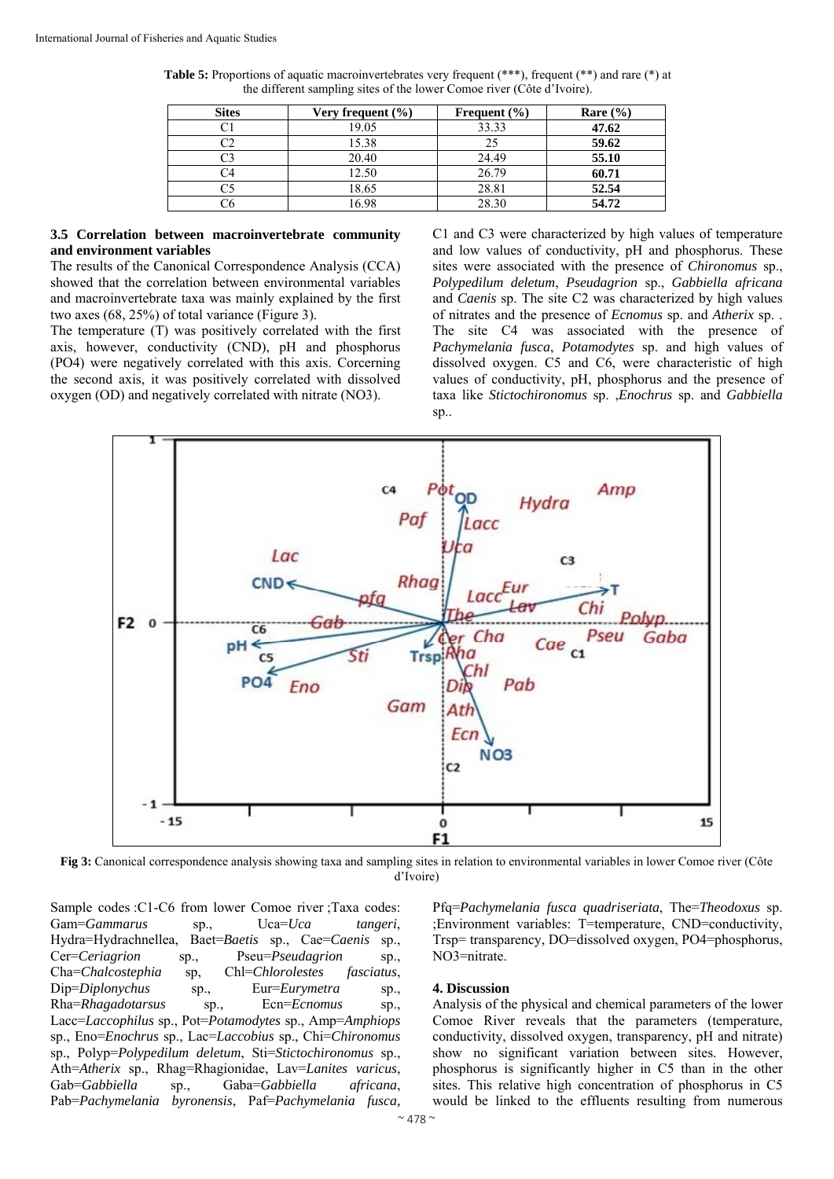| <b>Sites</b> | Very frequent $(\% )$ | Frequent $(\% )$ | Rare $(\% )$ |
|--------------|-----------------------|------------------|--------------|
|              | 19.05                 | 33.33            | 47.62        |
|              | 15.38                 | 25               | 59.62        |
|              | 20.40                 | 24.49            | 55.10        |
|              | 12.50                 | 26.79            | 60.71        |
|              | 18.65                 | 28.81            | 52.54        |
|              | 6.98                  | 28.30            | 54.72        |

**Table 5:** Proportions of aquatic macroinvertebrates very frequent (\*\*\*), frequent (\*\*) and rare (\*) at the different sampling sites of the lower Comoe river (Côte d'Ivoire).

#### **3.5 Correlation between macroinvertebrate community and environment variables**

The results of the Canonical Correspondence Analysis (CCA) showed that the correlation between environmental variables and macroinvertebrate taxa was mainly explained by the first two axes (68, 25%) of total variance (Figure 3).

The temperature (T) was positively correlated with the first axis, however, conductivity (CND), pH and phosphorus (PO4) were negatively correlated with this axis. Corcerning the second axis, it was positively correlated with dissolved oxygen (OD) and negatively correlated with nitrate (NO3).

C1 and C3 were characterized by high values of temperature and low values of conductivity, pH and phosphorus. These sites were associated with the presence of *Chironomus* sp., *Polypedilum deletum*, *Pseudagrion* sp., *Gabbiella africana* and *Caenis* sp. The site C2 was characterized by high values of nitrates and the presence of *Ecnomus* sp. and *Atherix* sp. . The site C4 was associated with the presence of *Pachymelania fusca*, *Potamodytes* sp. and high values of dissolved oxygen. C5 and C6, were characteristic of high values of conductivity, pH, phosphorus and the presence of taxa like *Stictochironomus* sp. ,*Enochrus* sp. and *Gabbiella* sp..



**Fig 3:** Canonical correspondence analysis showing taxa and sampling sites in relation to environmental variables in lower Comoe river (Côte d'Ivoire)

Sample codes :C1-C6 from lower Comoe river ;Taxa codes: Gam=*Gammarus* sp., Uca=*Uca tangeri*, Hydra=Hydrachnellea, Baet=*Baetis* sp., Cae=*Caenis* sp., Cer=*Ceriagrion* sp., Pseu=*Pseudagrion* sp., Cha=*Chalcostephia* sp, Chl=*Chlorolestes fasciatus*, Dip=*Diplonychus* sp., Eur=*Eurymetra* sp., Rha=*Rhagadotarsus* sp., Ecn=*Ecnomus* sp., Lacc=*Laccophilus* sp., Pot=*Potamodytes* sp., Amp=*Amphiops* sp., Eno=*Enochrus* sp., Lac=*Laccobius* sp., Chi=*Chironomus* sp., Polyp=*Polypedilum deletum*, Sti=*Stictochironomus* sp., Ath=*Atherix* sp., Rhag=Rhagionidae, Lav=*Lanites varicus*, Gab=*Gabbiella* sp., Gaba=*Gabbiella africana*, Pab=*Pachymelania byronensis*, Paf=*Pachymelania fusca,*

Pfq=*Pachymelania fusca quadriseriata*, The=*Theodoxus* sp. ;Environment variables: T=temperature, CND=conductivity, Trsp= transparency, DO=dissolved oxygen, PO4=phosphorus, NO3=nitrate.

#### **4. Discussion**

Analysis of the physical and chemical parameters of the lower Comoe River reveals that the parameters (temperature, conductivity, dissolved oxygen, transparency, pH and nitrate) show no significant variation between sites. However, phosphorus is significantly higher in C5 than in the other sites. This relative high concentration of phosphorus in C5 would be linked to the effluents resulting from numerous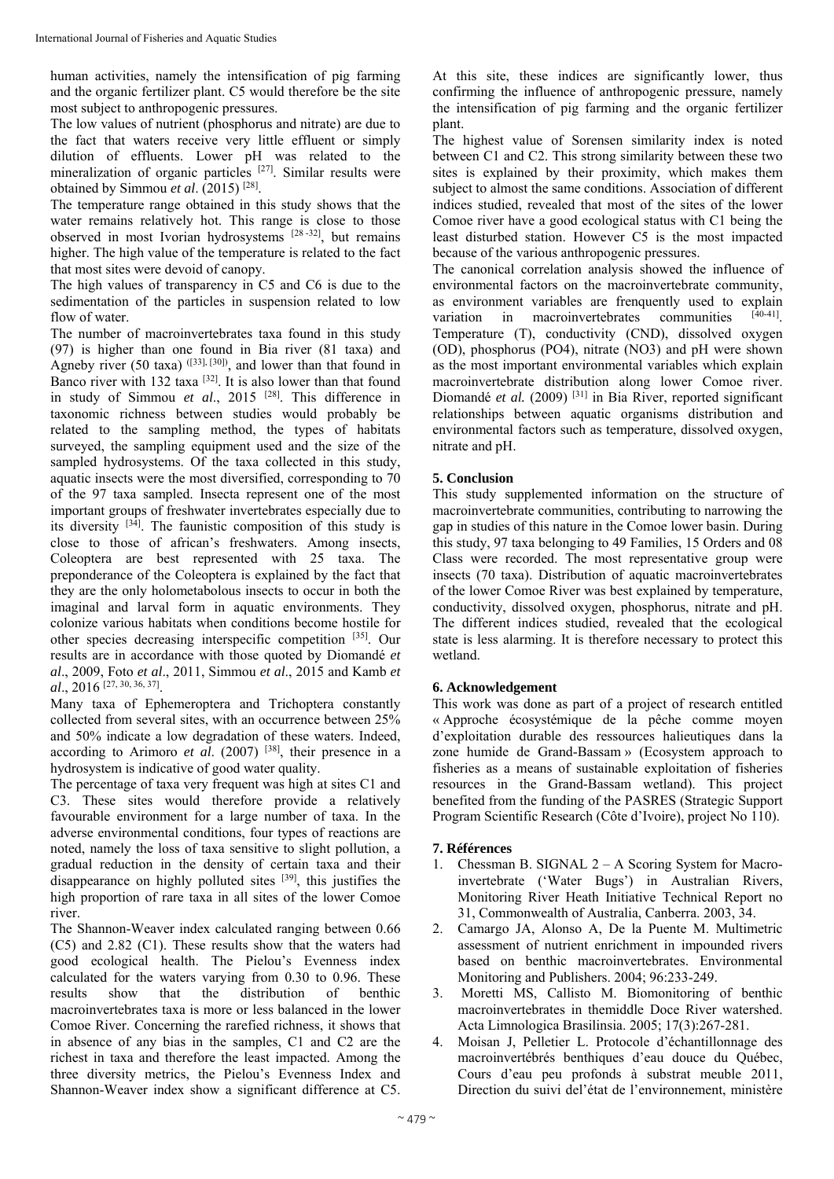human activities, namely the intensification of pig farming and the organic fertilizer plant. C5 would therefore be the site most subject to anthropogenic pressures.

The low values of nutrient (phosphorus and nitrate) are due to the fact that waters receive very little effluent or simply dilution of effluents. Lower pH was related to the mineralization of organic particles [27]. Similar results were obtained by Simmou *et al*. (2015) [28].

The temperature range obtained in this study shows that the water remains relatively hot. This range is close to those observed in most Ivorian hydrosystems [28 -32], but remains higher. The high value of the temperature is related to the fact that most sites were devoid of canopy.

The high values of transparency in C5 and C6 is due to the sedimentation of the particles in suspension related to low flow of water.

The number of macroinvertebrates taxa found in this study (97) is higher than one found in Bia river (81 taxa) and Agneby river  $(50 \text{ taxa})$   $(133)$ ,  $[30]$ , and lower than that found in Banco river with 132 taxa  $[32]$ . It is also lower than that found in study of Simmou *et al*., 2015 [28]. This difference in taxonomic richness between studies would probably be related to the sampling method, the types of habitats surveyed, the sampling equipment used and the size of the sampled hydrosystems. Of the taxa collected in this study, aquatic insects were the most diversified, corresponding to 70 of the 97 taxa sampled. Insecta represent one of the most important groups of freshwater invertebrates especially due to its diversity [34]. The faunistic composition of this study is close to those of african's freshwaters. Among insects, Coleoptera are best represented with 25 taxa. The preponderance of the Coleoptera is explained by the fact that they are the only holometabolous insects to occur in both the imaginal and larval form in aquatic environments. They colonize various habitats when conditions become hostile for other species decreasing interspecific competition [35]. Our results are in accordance with those quoted by Diomandé *et al*., 2009, Foto *et al*., 2011, Simmou *et al*., 2015 and Kamb *et al*., 2016 [27, 30, 36, 37].

Many taxa of Ephemeroptera and Trichoptera constantly collected from several sites, with an occurrence between 25% and 50% indicate a low degradation of these waters. Indeed, according to Arimoro *et al*. (2007) [38], their presence in a hydrosystem is indicative of good water quality.

The percentage of taxa very frequent was high at sites C1 and C3. These sites would therefore provide a relatively favourable environment for a large number of taxa. In the adverse environmental conditions, four types of reactions are noted, namely the loss of taxa sensitive to slight pollution, a gradual reduction in the density of certain taxa and their disappearance on highly polluted sites [39], this justifies the high proportion of rare taxa in all sites of the lower Comoe river.

The Shannon-Weaver index calculated ranging between 0.66 (C5) and 2.82 (C1). These results show that the waters had good ecological health. The Pielou's Evenness index calculated for the waters varying from 0.30 to 0.96. These results show that the distribution of benthic macroinvertebrates taxa is more or less balanced in the lower Comoe River. Concerning the rarefied richness, it shows that in absence of any bias in the samples, C1 and C2 are the richest in taxa and therefore the least impacted. Among the three diversity metrics, the Pielou's Evenness Index and Shannon-Weaver index show a significant difference at C5.

At this site, these indices are significantly lower, thus confirming the influence of anthropogenic pressure, namely the intensification of pig farming and the organic fertilizer plant.

The highest value of Sorensen similarity index is noted between C1 and C2. This strong similarity between these two sites is explained by their proximity, which makes them subject to almost the same conditions. Association of different indices studied, revealed that most of the sites of the lower Comoe river have a good ecological status with C1 being the least disturbed station. However C5 is the most impacted because of the various anthropogenic pressures.

The canonical correlation analysis showed the influence of environmental factors on the macroinvertebrate community, as environment variables are frenquently used to explain variation in macroinvertebrates communities Temperature (T), conductivity (CND), dissolved oxygen (OD), phosphorus (PO4), nitrate (NO3) and pH were shown as the most important environmental variables which explain macroinvertebrate distribution along lower Comoe river. Diomandé *et al.* (2009)<sup>[31]</sup> in Bia River, reported significant relationships between aquatic organisms distribution and environmental factors such as temperature, dissolved oxygen, nitrate and pH.

# **5. Conclusion**

This study supplemented information on the structure of macroinvertebrate communities, contributing to narrowing the gap in studies of this nature in the Comoe lower basin. During this study, 97 taxa belonging to 49 Families, 15 Orders and 08 Class were recorded. The most representative group were insects (70 taxa). Distribution of aquatic macroinvertebrates of the lower Comoe River was best explained by temperature, conductivity, dissolved oxygen, phosphorus, nitrate and pH. The different indices studied, revealed that the ecological state is less alarming. It is therefore necessary to protect this wetland.

# **6. Acknowledgement**

This work was done as part of a project of research entitled « Approche écosystémique de la pêche comme moyen d'exploitation durable des ressources halieutiques dans la zone humide de Grand-Bassam » (Ecosystem approach to fisheries as a means of sustainable exploitation of fisheries resources in the Grand-Bassam wetland). This project benefited from the funding of the PASRES (Strategic Support Program Scientific Research (Côte d'Ivoire), project No 110).

## **7. Références**

- 1. Chessman B. SIGNAL 2 A Scoring System for Macroinvertebrate ('Water Bugs') in Australian Rivers, Monitoring River Heath Initiative Technical Report no 31, Commonwealth of Australia, Canberra. 2003, 34.
- 2. Camargo JA, Alonso A, De la Puente M. Multimetric assessment of nutrient enrichment in impounded rivers based on benthic macroinvertebrates. Environmental Monitoring and Publishers. 2004; 96:233-249.
- 3. Moretti MS, Callisto M. Biomonitoring of benthic macroinvertebrates in themiddle Doce River watershed. Acta Limnologica Brasilinsia. 2005; 17(3):267-281.
- 4. Moisan J, Pelletier L. Protocole d'échantillonnage des macroinvertébrés benthiques d'eau douce du Québec, Cours d'eau peu profonds à substrat meuble 2011, Direction du suivi del'état de l'environnement, ministère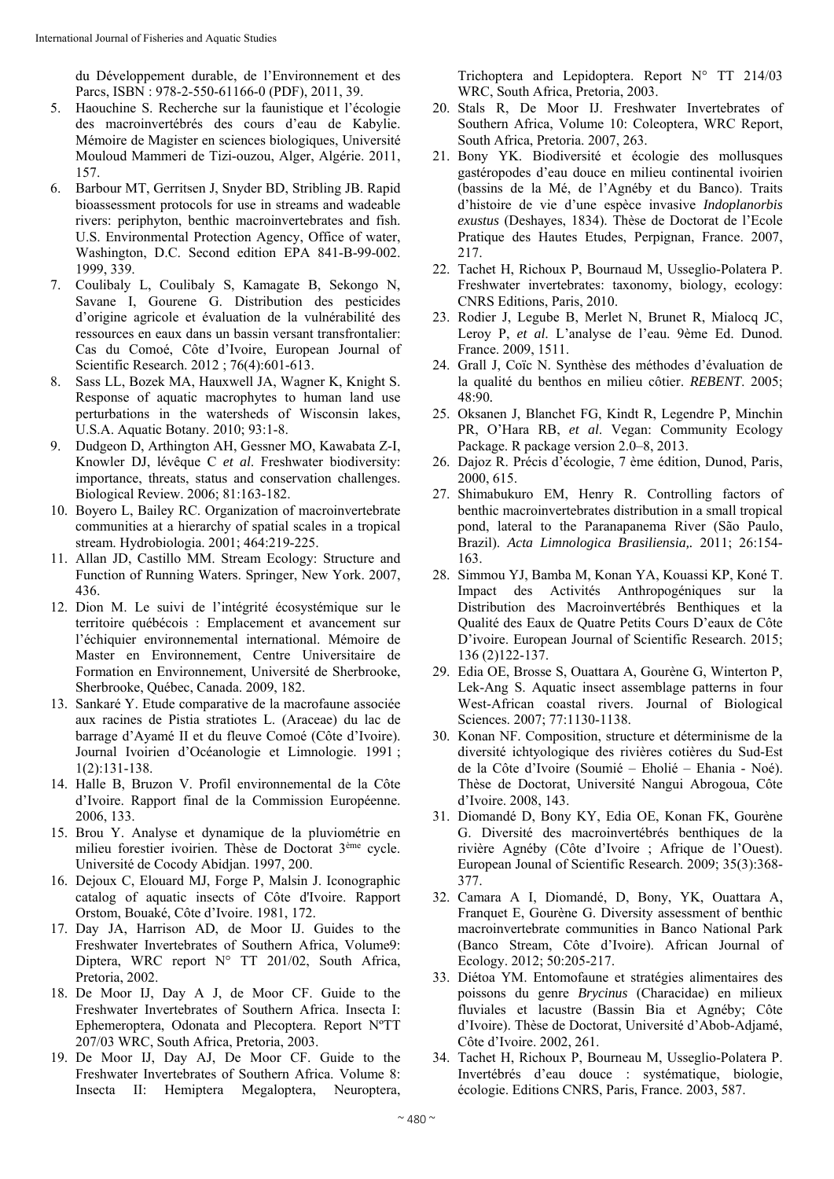du Développement durable, de l'Environnement et des Parcs, ISBN : 978-2-550-61166-0 (PDF), 2011, 39.

- 5. Haouchine S. Recherche sur la faunistique et l'écologie des macroinvertébrés des cours d'eau de Kabylie. Mémoire de Magister en sciences biologiques, Université Mouloud Mammeri de Tizi-ouzou, Alger, Algérie. 2011, 157.
- 6. Barbour MT, Gerritsen J, Snyder BD, Stribling JB. Rapid bioassessment protocols for use in streams and wadeable rivers: periphyton, benthic macroinvertebrates and fish. U.S. Environmental Protection Agency, Office of water, Washington, D.C. Second edition EPA 841-B-99-002. 1999, 339.
- 7. Coulibaly L, Coulibaly S, Kamagate B, Sekongo N, Savane I, Gourene G. Distribution des pesticides d'origine agricole et évaluation de la vulnérabilité des ressources en eaux dans un bassin versant transfrontalier: Cas du Comoé, Côte d'Ivoire, European Journal of Scientific Research. 2012 ; 76(4):601-613.
- 8. Sass LL, Bozek MA, Hauxwell JA, Wagner K, Knight S. Response of aquatic macrophytes to human land use perturbations in the watersheds of Wisconsin lakes, U.S.A. Aquatic Botany. 2010; 93:1-8.
- 9. Dudgeon D, Arthington AH, Gessner MO, Kawabata Z-I, Knowler DJ, lévêque C *et al*. Freshwater biodiversity: importance, threats, status and conservation challenges. Biological Review. 2006; 81:163-182.
- 10. Boyero L, Bailey RC. Organization of macroinvertebrate communities at a hierarchy of spatial scales in a tropical stream. Hydrobiologia. 2001; 464:219-225.
- 11. Allan JD, Castillo MM. Stream Ecology: Structure and Function of Running Waters. Springer, New York. 2007, 436.
- 12. Dion M. Le suivi de l'intégrité écosystémique sur le territoire québécois : Emplacement et avancement sur l'échiquier environnemental international. Mémoire de Master en Environnement, Centre Universitaire de Formation en Environnement, Université de Sherbrooke, Sherbrooke, Québec, Canada. 2009, 182.
- 13. Sankaré Y. Etude comparative de la macrofaune associée aux racines de Pistia stratiotes L. (Araceae) du lac de barrage d'Ayamé II et du fleuve Comoé (Côte d'Ivoire). Journal Ivoirien d'Océanologie et Limnologie. 1991 ; 1(2):131-138.
- 14. Halle B, Bruzon V. Profil environnemental de la Côte d'Ivoire. Rapport final de la Commission Européenne. 2006, 133.
- 15. Brou Y. Analyse et dynamique de la pluviométrie en milieu forestier ivoirien. Thèse de Doctorat 3ème cycle. Université de Cocody Abidjan. 1997, 200.
- 16. Dejoux C, Elouard MJ, Forge P, Malsin J. Iconographic catalog of aquatic insects of Côte d'Ivoire. Rapport Orstom, Bouaké, Côte d'Ivoire. 1981, 172.
- 17. Day JA, Harrison AD, de Moor IJ. Guides to the Freshwater Invertebrates of Southern Africa, Volume9: Diptera, WRC report N° TT 201/02, South Africa, Pretoria, 2002.
- 18. De Moor IJ, Day A J, de Moor CF. Guide to the Freshwater Invertebrates of Southern Africa. Insecta I: Ephemeroptera, Odonata and Plecoptera. Report NºTT 207/03 WRC, South Africa, Pretoria, 2003.
- 19. De Moor IJ, Day AJ, De Moor CF. Guide to the Freshwater Invertebrates of Southern Africa. Volume 8: Insecta II: Hemiptera Megaloptera, Neuroptera,

Trichoptera and Lepidoptera. Report N° TT 214/03 WRC, South Africa, Pretoria, 2003.

- 20. Stals R, De Moor IJ. Freshwater Invertebrates of Southern Africa, Volume 10: Coleoptera, WRC Report, South Africa, Pretoria. 2007, 263.
- 21. Bony YK. Biodiversité et écologie des mollusques gastéropodes d'eau douce en milieu continental ivoirien (bassins de la Mé, de l'Agnéby et du Banco). Traits d'histoire de vie d'une espèce invasive *Indoplanorbis exustus* (Deshayes, 1834). Thèse de Doctorat de l'Ecole Pratique des Hautes Etudes, Perpignan, France. 2007, 217.
- 22. Tachet H, Richoux P, Bournaud M, Usseglio-Polatera P. Freshwater invertebrates: taxonomy, biology, ecology: CNRS Editions, Paris, 2010.
- 23. Rodier J, Legube B, Merlet N, Brunet R, Mialocq JC, Leroy P, *et al*. L'analyse de l'eau. 9ème Ed. Dunod. France. 2009, 1511.
- 24. Grall J, Coïc N. Synthèse des méthodes d'évaluation de la qualité du benthos en milieu côtier. *REBENT*. 2005; 48:90*.*
- 25. Oksanen J, Blanchet FG, Kindt R, Legendre P, Minchin PR, O'Hara RB, *et al*. Vegan: Community Ecology Package. R package version 2.0–8, 2013.
- 26. Dajoz R. Précis d'écologie, 7 ème édition, Dunod, Paris, 2000, 615.
- 27. Shimabukuro EM, Henry R. Controlling factors of benthic macroinvertebrates distribution in a small tropical pond, lateral to the Paranapanema River (São Paulo, Brazil). *Acta Limnologica Brasiliensia,.* 2011; 26:154- 163.
- 28. Simmou YJ, Bamba M, Konan YA, Kouassi KP, Koné T. Impact des Activités Anthropogéniques sur la Distribution des Macroinvertébrés Benthiques et la Qualité des Eaux de Quatre Petits Cours D'eaux de Côte D'ivoire. European Journal of Scientific Research. 2015; 136 (2)122-137.
- 29. Edia OE, Brosse S, Ouattara A, Gourène G, Winterton P, Lek-Ang S. Aquatic insect assemblage patterns in four West-African coastal rivers. Journal of Biological Sciences. 2007; 77:1130-1138.
- 30. Konan NF. Composition, structure et déterminisme de la diversité ichtyologique des rivières cotières du Sud-Est de la Côte d'Ivoire (Soumié – Eholié – Ehania - Noé). Thèse de Doctorat, Université Nangui Abrogoua, Côte d'Ivoire. 2008, 143.
- 31. Diomandé D, Bony KY, Edia OE, Konan FK, Gourène G. Diversité des macroinvertébrés benthiques de la rivière Agnéby (Côte d'Ivoire ; Afrique de l'Ouest). European Jounal of Scientific Research. 2009; 35(3):368- 377.
- 32. Camara A I, Diomandé, D, Bony, YK, Ouattara A, Franquet E, Gourène G. Diversity assessment of benthic macroinvertebrate communities in Banco National Park (Banco Stream, Côte d'Ivoire). African Journal of Ecology. 2012; 50:205-217.
- 33. Diétoa YM. Entomofaune et stratégies alimentaires des poissons du genre *Brycinus* (Characidae) en milieux fluviales et lacustre (Bassin Bia et Agnéby; Côte d'Ivoire). Thèse de Doctorat, Université d'Abob-Adjamé, Côte d'Ivoire. 2002, 261.
- 34. Tachet H, Richoux P, Bourneau M, Usseglio-Polatera P. Invertébrés d'eau douce : systématique, biologie, écologie. Editions CNRS, Paris, France. 2003, 587.